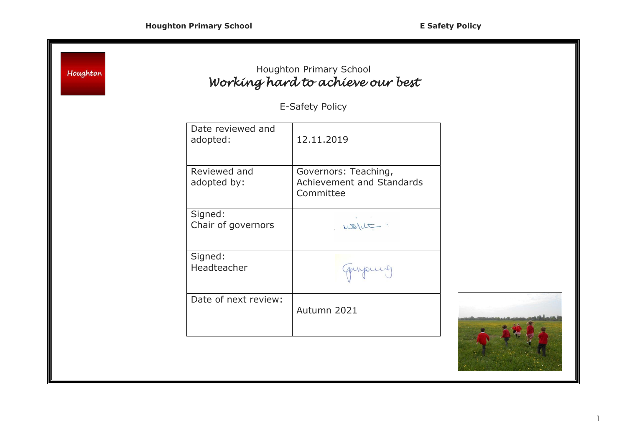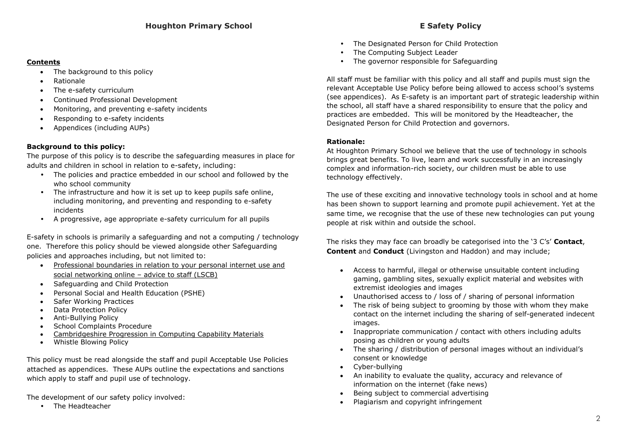#### **Contents**

- The background to this policy
- Rationale
- The e-safety curriculum
- Continued Professional Development
- Monitoring, and preventing e-safety incidents
- Responding to e-safety incidents
- Appendices (including AUPs)

# **Background to this policy:**

The purpose of this policy is to describe the safeguarding measures in place for adults and children in school in relation to e-safety, including:

- The policies and practice embedded in our school and followed by the who school community
- The infrastructure and how it is set up to keep pupils safe online, including monitoring, and preventing and responding to e-safety incidents
- A progressive, age appropriate e-safety curriculum for all pupils

E-safety in schools is primarily a safeguarding and not a computing / technology one. Therefore this policy should be viewed alongside other Safeguarding policies and approaches including, but not limited to:

- [Professional boundaries in relation to your personal internet use and](http://www.cambridgeshire.gov.uk/lscb/)  [social networking online](http://www.cambridgeshire.gov.uk/lscb/) – advice to staff (LSCB)
- Safeguarding and Child Protection
- Personal Social and Health Education (PSHE)
- Safer Working Practices
- Data Protection Policy
- Anti-Bullying Policy
- School Complaints Procedure
- [Cambridgeshire Progression in Computing Capability Materials](http://www.ccc-computing.org.uk/)
- Whistle Blowing Policy

This policy must be read alongside the staff and pupil Acceptable Use Policies attached as appendices. These AUPs outline the expectations and sanctions which apply to staff and pupil use of technology.

The development of our safety policy involved:

• The Headteacher

- The Designated Person for Child Protection
- The Computing Subject Leader
- The governor responsible for Safeguarding

All staff must be familiar with this policy and all staff and pupils must sign the relevant Acceptable Use Policy before being allowed to access school's systems (see appendices). As E-safety is an important part of strategic leadership within the school, all staff have a shared responsibility to ensure that the policy and practices are embedded. This will be monitored by the Headteacher, the Designated Person for Child Protection and governors.

## **Rationale:**

At Houghton Primary School we believe that the use of technology in schools brings great benefits. To live, learn and work successfully in an increasingly complex and information-rich society, our children must be able to use technology effectively.

The use of these exciting and innovative technology tools in school and at home has been shown to support learning and promote pupil achievement. Yet at the same time, we recognise that the use of these new technologies can put young people at risk within and outside the school.

The risks they may face can broadly be categorised into the '3 C's' **Contact**, **Content** and **Conduct** (Livingston and Haddon) and may include;

- Access to harmful, illegal or otherwise unsuitable content including gaming, gambling sites, sexually explicit material and websites with extremist ideologies and images
- Unauthorised access to / loss of / sharing of personal information
- The risk of being subject to grooming by those with whom they make contact on the internet including the sharing of self-generated indecent images.
- Inappropriate communication / contact with others including adults posing as children or young adults
- The sharing / distribution of personal images without an individual's consent or knowledge
- Cyber-bullying
- An inability to evaluate the quality, accuracy and relevance of information on the internet (fake news)
- Being subject to commercial advertising
- Plagiarism and copyright infringement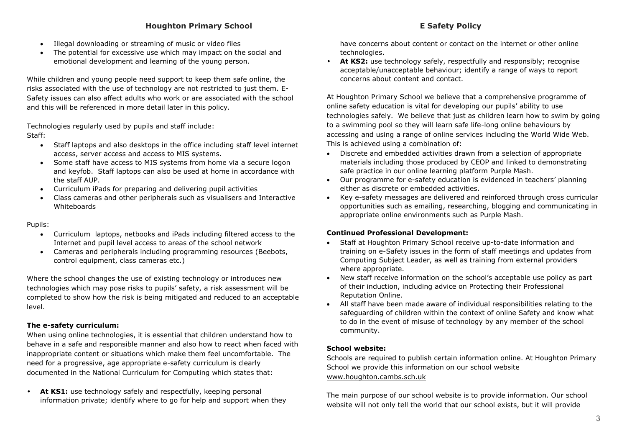- Illegal downloading or streaming of music or video files
- The potential for excessive use which may impact on the social and emotional development and learning of the young person.

While children and young people need support to keep them safe online, the risks associated with the use of technology are not restricted to just them. E-Safety issues can also affect adults who work or are associated with the school and this will be referenced in more detail later in this policy.

Technologies regularly used by pupils and staff include: Staff:

- Staff laptops and also desktops in the office including staff level internet access, server access and access to MIS systems.
- Some staff have access to MIS systems from home via a secure logon and keyfob. Staff laptops can also be used at home in accordance with the staff AUP.
- Curriculum iPads for preparing and delivering pupil activities
- Class cameras and other peripherals such as visualisers and Interactive Whiteboards

### Pupils:

- Curriculum laptops, netbooks and iPads including filtered access to the Internet and pupil level access to areas of the school network
- Cameras and peripherals including programming resources (Beebots, control equipment, class cameras etc.)

Where the school changes the use of existing technology or introduces new technologies which may pose risks to pupils' safety, a risk assessment will be completed to show how the risk is being mitigated and reduced to an acceptable level.

## **The e-safety curriculum:**

When using online technologies, it is essential that children understand how to behave in a safe and responsible manner and also how to react when faced with inappropriate content or situations which make them feel uncomfortable. The need for a progressive, age appropriate e-safety curriculum is clearly documented in the National Curriculum for Computing which states that:

• **At KS1:** use technology safely and respectfully, keeping personal information private; identify where to go for help and support when they have concerns about content or contact on the internet or other online technologies.

• **At KS2:** use technology safely, respectfully and responsibly; recognise acceptable/unacceptable behaviour; identify a range of ways to report concerns about content and contact.

At Houghton Primary School we believe that a comprehensive programme of online safety education is vital for developing our pupils' ability to use technologies safely. We believe that just as children learn how to swim by going to a swimming pool so they will learn safe life-long online behaviours by accessing and using a range of online services including the World Wide Web. This is achieved using a combination of:

- Discrete and embedded activities drawn from a selection of appropriate materials including those produced by CEOP and linked to demonstrating safe practice in our online learning platform Purple Mash.
- Our programme for e-safety education is evidenced in teachers' planning either as discrete or embedded activities.
- Key e-safety messages are delivered and reinforced through cross curricular opportunities such as emailing, researching, blogging and communicating in appropriate online environments such as Purple Mash.

## **Continued Professional Development:**

- Staff at Houghton Primary School receive up-to-date information and training on e-Safety issues in the form of staff meetings and updates from Computing Subject Leader, as well as training from external providers where appropriate.
- New staff receive information on the school's acceptable use policy as part of their induction, including advice on Protecting their Professional Reputation Online.
- All staff have been made aware of individual responsibilities relating to the safeguarding of children within the context of online Safety and know what to do in the event of misuse of technology by any member of the school community.

## **School website:**

Schools are required to publish certain information online. At Houghton Primary School we provide this information on our school website [www.houghton.cambs.sch.uk](http://www.houghton.cambs.sch.uk/)

The main purpose of our school website is to provide information. Our school website will not only tell the world that our school exists, but it will provide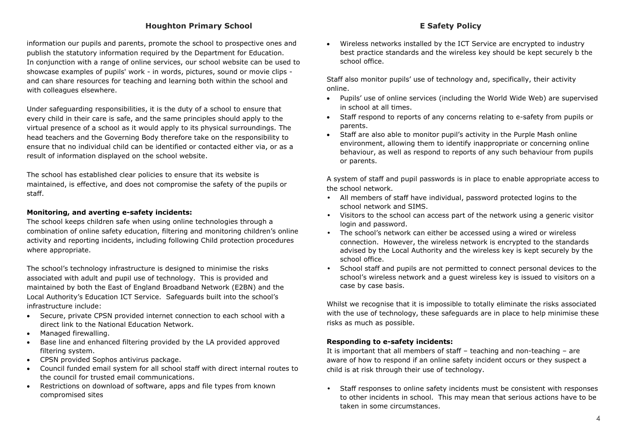## **Houghton Primary School E Safety Policy**

information our pupils and parents, promote the school to prospective ones and publish the statutory information required by the Department for Education. In conjunction with a range of online services, our school website can be used to showcase examples of pupils' work - in words, pictures, sound or movie clips and can share resources for teaching and learning both within the school and with colleagues elsewhere.

Under safeguarding responsibilities, it is the duty of a school to ensure that every child in their care is safe, and the same principles should apply to the virtual presence of a school as it would apply to its physical surroundings. The head teachers and the Governing Body therefore take on the responsibility to ensure that no individual child can be identified or contacted either via, or as a result of information displayed on the school website.

The school has established clear policies to ensure that its website is maintained, is effective, and does not compromise the safety of the pupils or staff.

#### **Monitoring, and averting e-safety incidents:**

The school keeps children safe when using online technologies through a combination of online safety education, filtering and monitoring children's online activity and reporting incidents, including following Child protection procedures where appropriate.

The school's technology infrastructure is designed to minimise the risks associated with adult and pupil use of technology. This is provided and maintained by both the East of England Broadband Network (E2BN) and the Local Authority's Education ICT Service. Safeguards built into the school's infrastructure include:

- Secure, private CPSN provided internet connection to each school with a direct link to the National Education Network.
- Managed firewalling.
- Base line and enhanced filtering provided by the LA provided approved filtering system.
- CPSN provided Sophos antivirus package.
- Council funded email system for all school staff with direct internal routes to the council for trusted email communications.
- Restrictions on download of software, apps and file types from known compromised sites

 Wireless networks installed by the ICT Service are encrypted to industry best practice standards and the wireless key should be kept securely b the school office.

Staff also monitor pupils' use of technology and, specifically, their activity online.

- Pupils' use of online services (including the World Wide Web) are supervised in school at all times.
- Staff respond to reports of any concerns relating to e-safety from pupils or parents.
- Staff are also able to monitor pupil's activity in the Purple Mash online environment, allowing them to identify inappropriate or concerning online behaviour, as well as respond to reports of any such behaviour from pupils or parents.

A system of staff and pupil passwords is in place to enable appropriate access to the school network.

- All members of staff have individual, password protected logins to the school network and SIMS.
- Visitors to the school can access part of the network using a generic visitor login and password.
- The school's network can either be accessed using a wired or wireless connection. However, the wireless network is encrypted to the standards advised by the Local Authority and the wireless key is kept securely by the school office.
- School staff and pupils are not permitted to connect personal devices to the school's wireless network and a guest wireless key is issued to visitors on a case by case basis.

Whilst we recognise that it is impossible to totally eliminate the risks associated with the use of technology, these safeguards are in place to help minimise these risks as much as possible.

#### **Responding to e-safety incidents:**

It is important that all members of staff – teaching and non-teaching – are aware of how to respond if an online safety incident occurs or they suspect a child is at risk through their use of technology.

• Staff responses to online safety incidents must be consistent with responses to other incidents in school. This may mean that serious actions have to be taken in some circumstances.